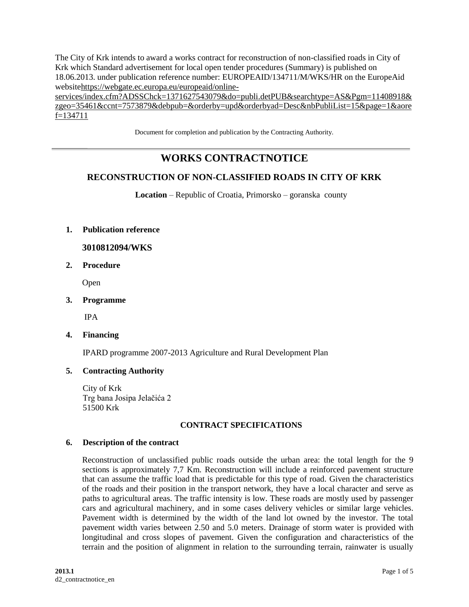The City of Krk intends to award a works contract for reconstruction of non-classified roads in City of Krk which Standard advertisement for local open tender procedures (Summary) is published on 18.06.2013. under publication reference number: EUROPEAID/134711/M/WKS/HR on the EuropeAid websit[ehttps://webgate.ec.europa.eu/europeaid/online-](https://webgate.ec.europa.eu/europeaid/online-services/index.cfm?ADSSChck=1371627543079&do=publi.detPUB&searchtype=AS&Pgm=11408918&zgeo=35461&ccnt=7573879&debpub=&orderby=upd&orderbyad=Desc&nbPubliList=15&page=1&aoref=134711)

[services/index.cfm?ADSSChck=1371627543079&do=publi.detPUB&searchtype=AS&Pgm=11408918&](https://webgate.ec.europa.eu/europeaid/online-services/index.cfm?ADSSChck=1371627543079&do=publi.detPUB&searchtype=AS&Pgm=11408918&zgeo=35461&ccnt=7573879&debpub=&orderby=upd&orderbyad=Desc&nbPubliList=15&page=1&aoref=134711) [zgeo=35461&ccnt=7573879&debpub=&orderby=upd&orderbyad=Desc&nbPubliList=15&page=1&aore](https://webgate.ec.europa.eu/europeaid/online-services/index.cfm?ADSSChck=1371627543079&do=publi.detPUB&searchtype=AS&Pgm=11408918&zgeo=35461&ccnt=7573879&debpub=&orderby=upd&orderbyad=Desc&nbPubliList=15&page=1&aoref=134711) [f=134711](https://webgate.ec.europa.eu/europeaid/online-services/index.cfm?ADSSChck=1371627543079&do=publi.detPUB&searchtype=AS&Pgm=11408918&zgeo=35461&ccnt=7573879&debpub=&orderby=upd&orderbyad=Desc&nbPubliList=15&page=1&aoref=134711)

Document for completion and publication by the Contracting Authority.

# **WORKS CONTRACTNOTICE**

# **RECONSTRUCTION OF NON-CLASSIFIED ROADS IN CITY OF KRK**

**Location** – Republic of Croatia, Primorsko – goranska county

## **1. Publication reference**

# **3010812094/WKS**

**2. Procedure**

Open

**3. Programme**

IPA

**4. Financing**

IPARD programme 2007-2013 Agriculture and Rural Development Plan

# **5. Contracting Authority**

City of Krk Trg bana Josipa Jelačića 2 51500 Krk

#### **CONTRACT SPECIFICATIONS**

#### **6. Description of the contract**

Reconstruction of unclassified public roads outside the urban area: the total length for the 9 sections is approximately 7,7 Km. Reconstruction will include a reinforced pavement structure that can assume the traffic load that is predictable for this type of road. Given the characteristics of the roads and their position in the transport network, they have a local character and serve as paths to agricultural areas. The traffic intensity is low. These roads are mostly used by passenger cars and agricultural machinery, and in some cases delivery vehicles or similar large vehicles. Pavement width is determined by the width of the land lot owned by the investor. The total pavement width varies between 2.50 and 5.0 meters. Drainage of storm water is provided with longitudinal and cross slopes of pavement. Given the configuration and characteristics of the terrain and the position of alignment in relation to the surrounding terrain, rainwater is usually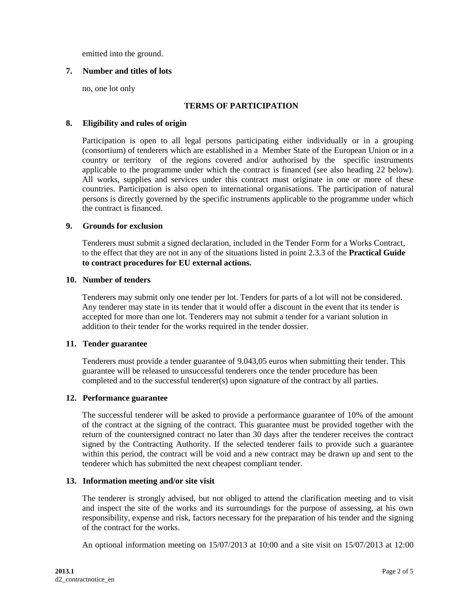emitted into the ground.

# **7. Number and titles of lots**

no, one lot only

## **TERMS OF PARTICIPATION**

#### **8. Eligibility and rules of origin**

Participation is open to all legal persons participating either individually or in a grouping (consortium) of tenderers which are established in a Member State of the European Union or in a country or territory of the regions covered and/or authorised by the specific instruments applicable to the programme under which the contract is financed (see also heading 22 below). All works, supplies and services under this contract must originate in one or more of these countries. Participation is also open to international organisations. The participation of natural persons is directly governed by the specific instruments applicable to the programme under which the contract is financed.

## **9. Grounds for exclusion**

Tenderers must submit a signed declaration, included in the Tender Form for a Works Contract, to the effect that they are not in any of the situations listed in point 2.3.3 of the **Practical Guide to contract procedures for EU external actions.**

#### **10. Number of tenders**

Tenderers may submit only one tender per lot. Tenders for parts of a lot will not be considered. Any tenderer may state in its tender that it would offer a discount in the event that its tender is accepted for more than one lot. Tenderers may not submit a tender for a variant solution in addition to their tender for the works required in the tender dossier.

#### **11. Tender guarantee**

Tenderers must provide a tender guarantee of 9.043,05 euros when submitting their tender. This guarantee will be released to unsuccessful tenderers once the tender procedure has been completed and to the successful tenderer(s) upon signature of the contract by all parties.

#### **12. Performance guarantee**

The successful tenderer will be asked to provide a performance guarantee of 10% of the amount of the contract at the signing of the contract. This guarantee must be provided together with the return of the countersigned contract no later than 30 days after the tenderer receives the contract signed by the Contracting Authority. If the selected tenderer fails to provide such a guarantee within this period, the contract will be void and a new contract may be drawn up and sent to the tenderer which has submitted the next cheapest compliant tender.

#### **13. Information meeting and/or site visit**

The tenderer is strongly advised, but not obliged to attend the clarification meeting and to visit and inspect the site of the works and its surroundings for the purpose of assessing, at his own responsibility, expense and risk, factors necessary for the preparation of his tender and the signing of the contract for the works.

An optional information meeting on 15/07/2013 at 10:00 and a site visit on 15/07/2013 at 12:00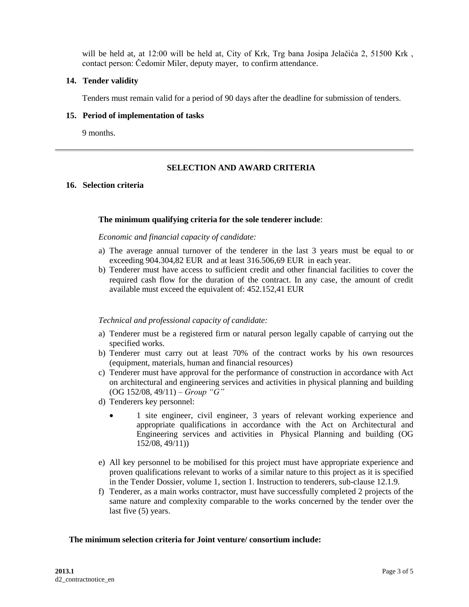will be held at, at 12:00 will be held at, City of Krk, Trg bana Josipa Jelačića 2, 51500 Krk, contact person: Čedomir Miler, deputy mayer, to confirm attendance.

## **14. Tender validity**

Tenders must remain valid for a period of 90 days after the deadline for submission of tenders.

## **15. Period of implementation of tasks**

9 months.

## **SELECTION AND AWARD CRITERIA**

## **16. Selection criteria**

## **The minimum qualifying criteria for the sole tenderer include**:

## *Economic and financial capacity of candidate:*

- a) The average annual turnover of the tenderer in the last 3 years must be equal to or exceeding 904.304,82 EUR and at least 316.506,69 EUR in each year.
- b) Tenderer must have access to sufficient credit and other financial facilities to cover the required cash flow for the duration of the contract. In any case, the amount of credit available must exceed the equivalent of: 452.152,41 EUR

#### *Technical and professional capacity of candidate:*

- a) Tenderer must be a registered firm or natural person legally capable of carrying out the specified works.
- b) Tenderer must carry out at least 70% of the contract works by his own resources (equipment, materials, human and financial resources)
- c) Tenderer must have approval for the performance of construction in accordance with Act on architectural and engineering services and activities in physical planning and building (OG 152/08, 49/11) – *Group "G"*
- d) Tenderers key personnel:
	- 1 site engineer, civil engineer, 3 years of relevant working experience and appropriate qualifications in accordance with the Act on Architectural and Engineering services and activities in Physical Planning and building (OG 152/08, 49/11))
- e) All key personnel to be mobilised for this project must have appropriate experience and proven qualifications relevant to works of a similar nature to this project as it is specified in the Tender Dossier, volume 1, section 1. Instruction to tenderers, sub-clause 12.1.9.
- f) Tenderer, as a main works contractor, must have successfully completed 2 projects of the same nature and complexity comparable to the works concerned by the tender over the last five (5) years.

# **The minimum selection criteria for Joint venture/ consortium include:**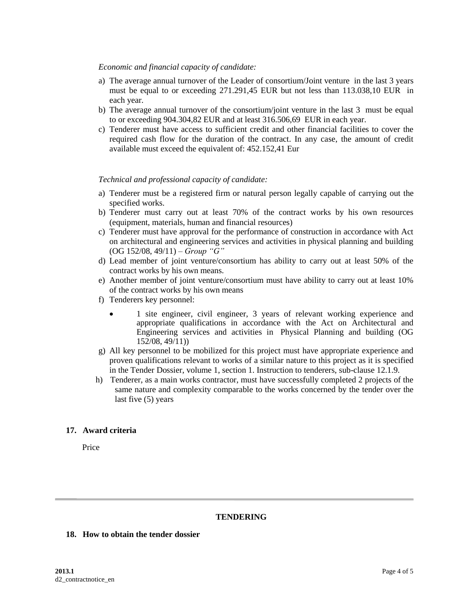## *Economic and financial capacity of candidate:*

- a) The average annual turnover of the Leader of consortium/Joint venture in the last 3 years must be equal to or exceeding 271.291,45 EUR but not less than 113.038,10 EUR in each year.
- b) The average annual turnover of the consortium/joint venture in the last 3 must be equal to or exceeding 904.304,82 EUR and at least 316.506,69 EUR in each year.
- c) Tenderer must have access to sufficient credit and other financial facilities to cover the required cash flow for the duration of the contract. In any case, the amount of credit available must exceed the equivalent of: 452.152,41 Eur

# *Technical and professional capacity of candidate:*

- a) Tenderer must be a registered firm or natural person legally capable of carrying out the specified works.
- b) Tenderer must carry out at least 70% of the contract works by his own resources (equipment, materials, human and financial resources)
- c) Tenderer must have approval for the performance of construction in accordance with Act on architectural and engineering services and activities in physical planning and building (OG 152/08, 49/11) – *Group "G"*
- d) Lead member of joint venture/consortium has ability to carry out at least 50% of the contract works by his own means.
- e) Another member of joint venture/consortium must have ability to carry out at least 10% of the contract works by his own means
- f) Tenderers key personnel:
	- 1 site engineer, civil engineer, 3 years of relevant working experience and appropriate qualifications in accordance with the Act on Architectural and Engineering services and activities in Physical Planning and building (OG 152/08, 49/11))
- g) All key personnel to be mobilized for this project must have appropriate experience and proven qualifications relevant to works of a similar nature to this project as it is specified in the Tender Dossier, volume 1, section 1. Instruction to tenderers, sub-clause 12.1.9.
- h) Tenderer, as a main works contractor, must have successfully completed 2 projects of the same nature and complexity comparable to the works concerned by the tender over the last five (5) years

# **17. Award criteria**

Price

# **TENDERING**

## **18. How to obtain the tender dossier**